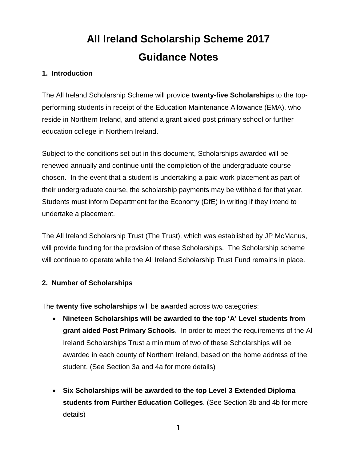# **All Ireland Scholarship Scheme 2017 Guidance Notes**

### **1. Introduction**

The All Ireland Scholarship Scheme will provide **twenty-five Scholarships** to the topperforming students in receipt of the Education Maintenance Allowance (EMA), who reside in Northern Ireland, and attend a grant aided post primary school or further education college in Northern Ireland.

Subject to the conditions set out in this document, Scholarships awarded will be renewed annually and continue until the completion of the undergraduate course chosen. In the event that a student is undertaking a paid work placement as part of their undergraduate course, the scholarship payments may be withheld for that year. Students must inform Department for the Economy (DfE) in writing if they intend to undertake a placement.

The All Ireland Scholarship Trust (The Trust), which was established by JP McManus, will provide funding for the provision of these Scholarships. The Scholarship scheme will continue to operate while the All Ireland Scholarship Trust Fund remains in place.

#### **2. Number of Scholarships**

The **twenty five scholarships** will be awarded across two categories:

- **Nineteen Scholarships will be awarded to the top 'A' Level students from grant aided Post Primary Schools**. In order to meet the requirements of the All Ireland Scholarships Trust a minimum of two of these Scholarships will be awarded in each county of Northern Ireland, based on the home address of the student. (See Section 3a and 4a for more details)
- **Six Scholarships will be awarded to the top Level 3 Extended Diploma students from Further Education Colleges**. (See Section 3b and 4b for more details)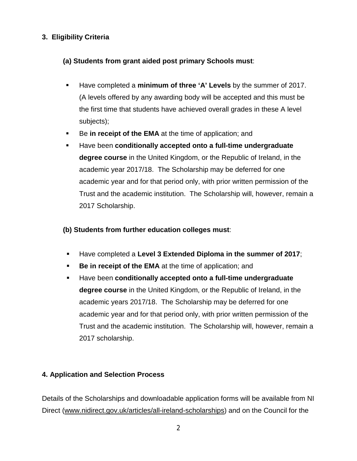### **3. Eligibility Criteria**

### **(a) Students from grant aided post primary Schools must**:

- Have completed a **minimum of three 'A' Levels** by the summer of 2017. (A levels offered by any awarding body will be accepted and this must be the first time that students have achieved overall grades in these A level subjects);
- Be in receipt of the **EMA** at the time of application; and
- Have been **conditionally accepted onto a full-time undergraduate degree course** in the United Kingdom, or the Republic of Ireland, in the academic year 2017/18. The Scholarship may be deferred for one academic year and for that period only, with prior written permission of the Trust and the academic institution. The Scholarship will, however, remain a 2017 Scholarship.

### **(b) Students from further education colleges must**:

- Have completed a **Level 3 Extended Diploma in the summer of 2017**;
- **Be in receipt of the EMA** at the time of application; and
- Have been **conditionally accepted onto a full-time undergraduate degree course** in the United Kingdom, or the Republic of Ireland, in the academic years 2017/18. The Scholarship may be deferred for one academic year and for that period only, with prior written permission of the Trust and the academic institution. The Scholarship will, however, remain a 2017 scholarship.

# **4. Application and Selection Process**

Details of the Scholarships and downloadable application forms will be available from NI Direct [\(www.nidirect.gov.uk/articles/all-ireland-scholarships\)](https://www.nidirect.gov.uk/articles/all-ireland-scholarships) and on the Council for the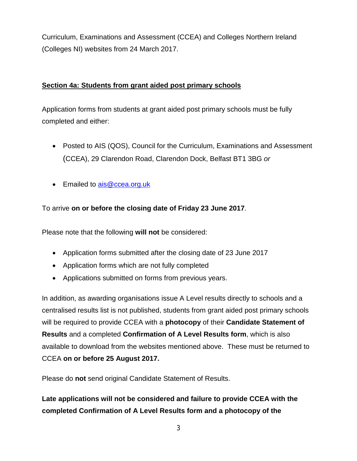Curriculum, Examinations and Assessment (CCEA) and Colleges Northern Ireland (Colleges NI) websites from 24 March 2017.

### **Section 4a: Students from grant aided post primary schools**

Application forms from students at grant aided post primary schools must be fully completed and either:

- Posted to AIS (QOS), Council for the Curriculum, Examinations and Assessment (CCEA), 29 Clarendon Road, Clarendon Dock, Belfast BT1 3BG *or*
- Emailed to [ais@ccea.org.uk](mailto:ais@ccea.org.uk)

To arrive **on or before the closing date of Friday 23 June 2017**.

Please note that the following **will not** be considered:

- Application forms submitted after the closing date of 23 June 2017
- Application forms which are not fully completed
- Applications submitted on forms from previous years.

In addition, as awarding organisations issue A Level results directly to schools and a centralised results list is not published, students from grant aided post primary schools will be required to provide CCEA with a **photocopy** of their **Candidate Statement of Results** and a completed **Confirmation of A Level Results form**, which is also available to download from the websites mentioned above. These must be returned to CCEA **on or before 25 August 2017.**

Please do **not** send original Candidate Statement of Results.

**Late applications will not be considered and failure to provide CCEA with the completed Confirmation of A Level Results form and a photocopy of the**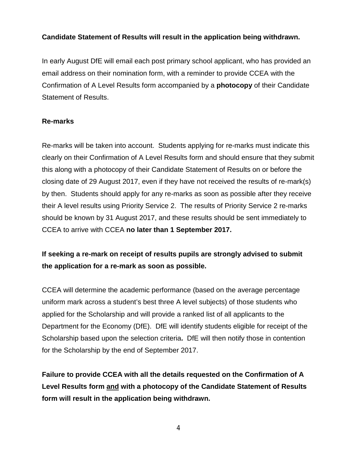### **Candidate Statement of Results will result in the application being withdrawn.**

In early August DfE will email each post primary school applicant, who has provided an email address on their nomination form, with a reminder to provide CCEA with the Confirmation of A Level Results form accompanied by a **photocopy** of their Candidate Statement of Results.

### **Re-marks**

Re-marks will be taken into account. Students applying for re-marks must indicate this clearly on their Confirmation of A Level Results form and should ensure that they submit this along with a photocopy of their Candidate Statement of Results on or before the closing date of 29 August 2017, even if they have not received the results of re-mark(s) by then. Students should apply for any re-marks as soon as possible after they receive their A level results using Priority Service 2. The results of Priority Service 2 re-marks should be known by 31 August 2017, and these results should be sent immediately to CCEA to arrive with CCEA **no later than 1 September 2017.**

# **If seeking a re-mark on receipt of results pupils are strongly advised to submit the application for a re-mark as soon as possible.**

CCEA will determine the academic performance (based on the average percentage uniform mark across a student's best three A level subjects) of those students who applied for the Scholarship and will provide a ranked list of all applicants to the Department for the Economy (DfE). DfE will identify students eligible for receipt of the Scholarship based upon the selection criteria**.** DfE will then notify those in contention for the Scholarship by the end of September 2017.

**Failure to provide CCEA with all the details requested on the Confirmation of A Level Results form and with a photocopy of the Candidate Statement of Results form will result in the application being withdrawn.**

4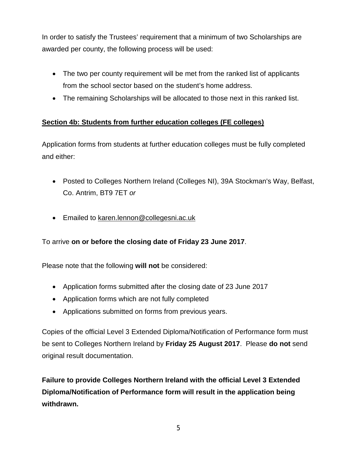In order to satisfy the Trustees' requirement that a minimum of two Scholarships are awarded per county, the following process will be used:

- The two per county requirement will be met from the ranked list of applicants from the school sector based on the student's home address.
- The remaining Scholarships will be allocated to those next in this ranked list.

# **Section 4b: Students from further education colleges (FE colleges)**

Application forms from students at further education colleges must be fully completed and either:

- Posted to Colleges Northern Ireland (Colleges NI), 39A Stockman's Way, Belfast, Co. Antrim, BT9 7ET *or*
- Emailed to [karen.lennon@collegesni.ac.uk](mailto:karen.lennon@collegesni.ac.uk)

# To arrive **on or before the closing date of Friday 23 June 2017**.

Please note that the following **will not** be considered:

- Application forms submitted after the closing date of 23 June 2017
- Application forms which are not fully completed
- Applications submitted on forms from previous years.

Copies of the official Level 3 Extended Diploma/Notification of Performance form must be sent to Colleges Northern Ireland by **Friday 25 August 2017**. Please **do not** send original result documentation.

**Failure to provide Colleges Northern Ireland with the official Level 3 Extended Diploma/Notification of Performance form will result in the application being withdrawn.**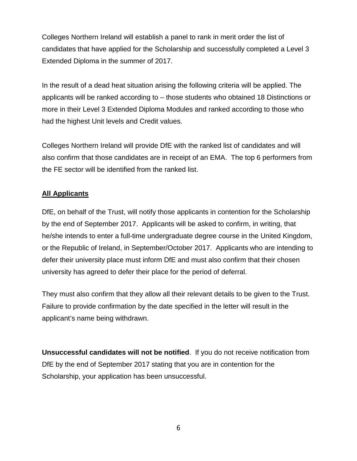Colleges Northern Ireland will establish a panel to rank in merit order the list of candidates that have applied for the Scholarship and successfully completed a Level 3 Extended Diploma in the summer of 2017.

In the result of a dead heat situation arising the following criteria will be applied. The applicants will be ranked according to – those students who obtained 18 Distinctions or more in their Level 3 Extended Diploma Modules and ranked according to those who had the highest Unit levels and Credit values.

Colleges Northern Ireland will provide DfE with the ranked list of candidates and will also confirm that those candidates are in receipt of an EMA. The top 6 performers from the FE sector will be identified from the ranked list.

### **All Applicants**

DfE, on behalf of the Trust, will notify those applicants in contention for the Scholarship by the end of September 2017. Applicants will be asked to confirm, in writing, that he/she intends to enter a full-time undergraduate degree course in the United Kingdom, or the Republic of Ireland, in September/October 2017. Applicants who are intending to defer their university place must inform DfE and must also confirm that their chosen university has agreed to defer their place for the period of deferral.

They must also confirm that they allow all their relevant details to be given to the Trust. Failure to provide confirmation by the date specified in the letter will result in the applicant's name being withdrawn.

**Unsuccessful candidates will not be notified**. If you do not receive notification from DfE by the end of September 2017 stating that you are in contention for the Scholarship, your application has been unsuccessful.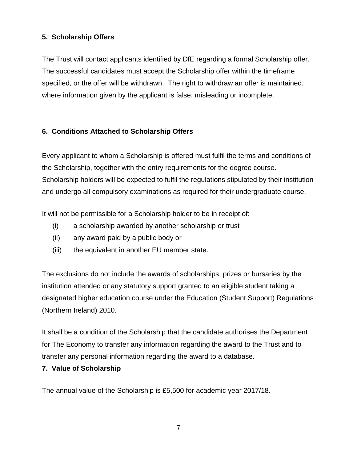### **5. Scholarship Offers**

The Trust will contact applicants identified by DfE regarding a formal Scholarship offer. The successful candidates must accept the Scholarship offer within the timeframe specified, or the offer will be withdrawn. The right to withdraw an offer is maintained, where information given by the applicant is false, misleading or incomplete.

# **6. Conditions Attached to Scholarship Offers**

Every applicant to whom a Scholarship is offered must fulfil the terms and conditions of the Scholarship, together with the entry requirements for the degree course. Scholarship holders will be expected to fulfil the regulations stipulated by their institution and undergo all compulsory examinations as required for their undergraduate course.

It will not be permissible for a Scholarship holder to be in receipt of:

- (i) a scholarship awarded by another scholarship or trust
- (ii) any award paid by a public body or
- (iii) the equivalent in another EU member state.

The exclusions do not include the awards of scholarships, prizes or bursaries by the institution attended or any statutory support granted to an eligible student taking a designated higher education course under the Education (Student Support) Regulations (Northern Ireland) 2010.

It shall be a condition of the Scholarship that the candidate authorises the Department for The Economy to transfer any information regarding the award to the Trust and to transfer any personal information regarding the award to a database.

### **7. Value of Scholarship**

The annual value of the Scholarship is £5,500 for academic year 2017/18.